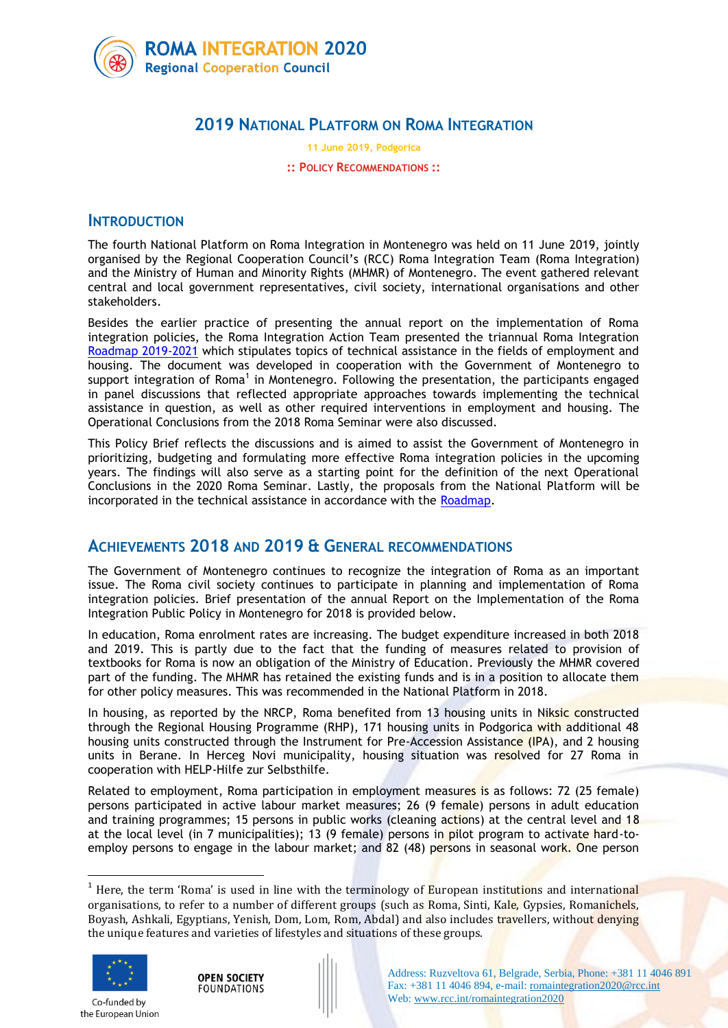

# **2019 NATIONAL PLATFORM ON ROMA INTEGRATION**

**11 June 2019, Podgorica**

#### **:: POLICY RECOMMENDATIONS ::**

## **INTRODUCTION**

The fourth National Platform on Roma Integration in Montenegro was held on 11 June 2019, jointly organised by the Regional Cooperation Council's (RCC) Roma Integration Team (Roma Integration) and the Ministry of Human and Minority Rights (MHMR) of Montenegro. The event gathered relevant central and local government representatives, civil society, international organisations and other stakeholders.

Besides the earlier practice of presenting the annual report on the implementation of Roma integration policies, the Roma Integration Action Team presented the triannual Roma Integration [Roadmap 2019-2021](https://www.rcc.int/romaintegration2020/docs/102/roma-integration-roadmap-montenegro-2019-2021) which stipulates topics of technical assistance in the fields of employment and housing. The document was developed in cooperation with the Government of Montenegro to support integration of Roma<sup>1</sup> in Montenegro. Following the presentation, the participants engaged in panel discussions that reflected appropriate approaches towards implementing the technical assistance in question, as well as other required interventions in employment and housing. The Operational Conclusions from the 2018 Roma Seminar were also discussed.

This Policy Brief reflects the discussions and is aimed to assist the Government of Montenegro in prioritizing, budgeting and formulating more effective Roma integration policies in the upcoming years. The findings will also serve as a starting point for the definition of the next Operational Conclusions in the 2020 Roma Seminar. Lastly, the proposals from the National Platform will be incorporated in the technical assistance in accordance with the [Roadmap.](https://www.rcc.int/romaintegration2020/docs/102/roma-integration-roadmap-montenegro-2019-2021)

## **ACHIEVEMENTS 2018 AND 2019 & GENERAL RECOMMENDATIONS**

The Government of Montenegro continues to recognize the integration of Roma as an important issue. The Roma civil society continues to participate in planning and implementation of Roma integration policies. Brief presentation of the annual Report on the Implementation of the Roma Integration Public Policy in Montenegro for 2018 is provided below.

In education, Roma enrolment rates are increasing. The budget expenditure increased in both 2018 and 2019. This is partly due to the fact that the funding of measures related to provision of textbooks for Roma is now an obligation of the Ministry of Education. Previously the MHMR covered part of the funding. The MHMR has retained the existing funds and is in a position to allocate them for other policy measures. This was recommended in the National Platform in 2018.

In housing, as reported by the NRCP, Roma benefited from 13 housing units in Niksic constructed through the Regional Housing Programme (RHP), 171 housing units in Podgorica with additional 48 housing units constructed through the Instrument for Pre-Accession Assistance (IPA), and 2 housing units in Berane. In Herceg Novi municipality, housing situation was resolved for 27 Roma in cooperation with HELP-Hilfe zur Selbsthilfe.

Related to employment, Roma participation in employment measures is as follows: 72 (25 female) persons participated in active labour market measures; 26 (9 female) persons in adult education and training programmes; 15 persons in public works (cleaning actions) at the central level and 18 at the local level (in 7 municipalities); 13 (9 female) persons in pilot program to activate hard-toemploy persons to engage in the labour market; and 82 (48) persons in seasonal work. One person

<sup>&</sup>lt;sup>1</sup> Here, the term 'Roma' is used in line with the terminology of European institutions and international organisations, to refer to a number of different groups (such as Roma, Sinti, Kale, Gypsies, Romanichels, Boyash, Ashkali, Egyptians, Yenish, Dom, Lom, Rom, Abdal) and also includes travellers, without denying the unique features and varieties of lifestyles and situations of these groups.



1

Co-funded by the European Union

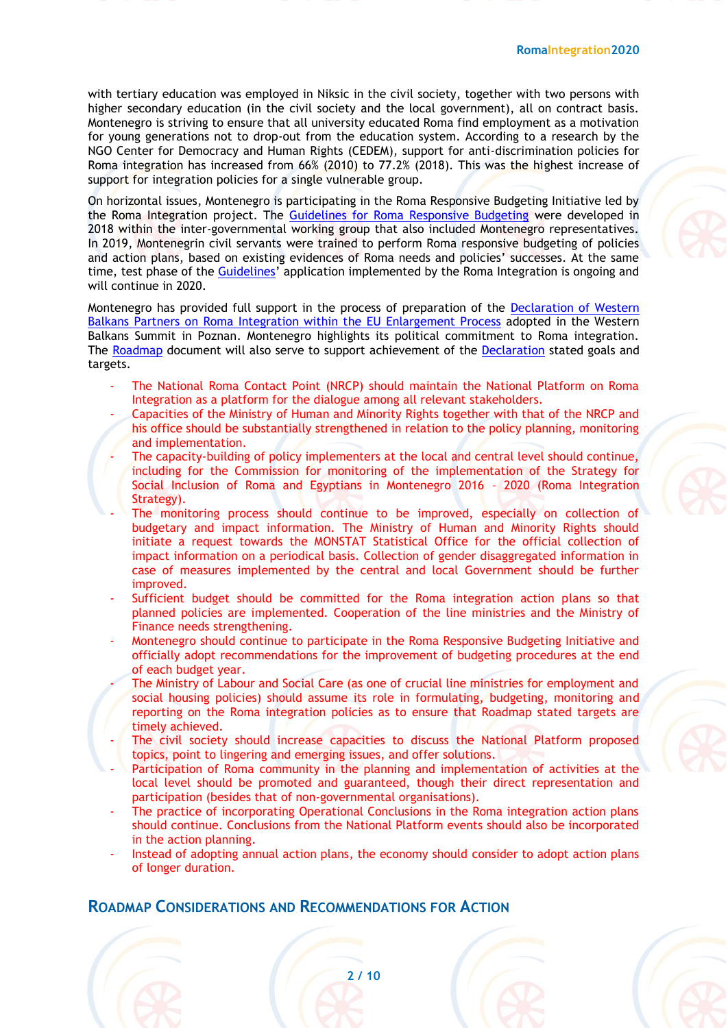with tertiary education was employed in Niksic in the civil society, together with two persons with higher secondary education (in the civil society and the local government), all on contract basis. Montenegro is striving to ensure that all university educated Roma find employment as a motivation for young generations not to drop-out from the education system. According to a research by the NGO Center for Democracy and Human Rights (CEDEM), support for anti-discrimination policies for Roma integration has increased from 66% (2010) to 77.2% (2018). This was the highest increase of support for integration policies for a single vulnerable group.

On horizontal issues, Montenegro is participating in the Roma Responsive Budgeting Initiative led by the Roma Integration project. The [Guidelines for Roma Responsive Budgeting](https://www.rcc.int/romaintegration2020/docs/96/guidelines-for-roma-responsive-budgeting) were developed in 2018 within the inter-governmental working group that also included Montenegro representatives. In 2019, Montenegrin civil servants were trained to perform Roma responsive budgeting of policies and action plans, based on existing evidences of Roma needs and policies' successes. At the same time, test phase of the [Guidelines](https://www.rcc.int/romaintegration2020/docs/96/guidelines-for-roma-responsive-budgeting)' application implemented by the Roma Integration is ongoing and will continue in 2020.

Montenegro has provided full support in the process of preparation of the [Declaration of Western](https://www.rcc.int/romaintegration2020/docs/105/the-declaration-of-western-balkans-partners-on-roma-integration-within-the-eu-enlargement-processrn)  [Balkans Partners on Roma Integration within the EU Enlargement Process](https://www.rcc.int/romaintegration2020/docs/105/the-declaration-of-western-balkans-partners-on-roma-integration-within-the-eu-enlargement-processrn) adopted in the Western Balkans Summit in Poznan. Montenegro highlights its political commitment to Roma integration. The [Roadmap](https://www.rcc.int/romaintegration2020/docs/102/roma-integration-roadmap-montenegro-2019-2021) document will also serve to support achievement of the [Declaration](https://www.rcc.int/romaintegration2020/docs/105/the-declaration-of-western-balkans-partners-on-roma-integration-within-the-eu-enlargement-processrn) stated goals and targets.

- The National Roma Contact Point (NRCP) should maintain the National Platform on Roma Integration as a platform for the dialogue among all relevant stakeholders.
- Capacities of the Ministry of Human and Minority Rights together with that of the NRCP and his office should be substantially strengthened in relation to the policy planning, monitoring and implementation.
- The capacity-building of policy implementers at the local and central level should continue, including for the Commission for monitoring of the implementation of the Strategy for Social Inclusion of Roma and Egyptians in Montenegro 2016 – 2020 (Roma Integration Strategy).
- The monitoring process should continue to be improved, especially on collection of budgetary and impact information. The Ministry of Human and Minority Rights should initiate a request towards the MONSTAT Statistical Office for the official collection of impact information on a periodical basis. Collection of gender disaggregated information in case of measures implemented by the central and local Government should be further improved.
- Sufficient budget should be committed for the Roma integration action plans so that planned policies are implemented. Cooperation of the line ministries and the Ministry of Finance needs strengthening.
- Montenegro should continue to participate in the Roma Responsive Budgeting Initiative and officially adopt recommendations for the improvement of budgeting procedures at the end of each budget year.
- The Ministry of Labour and Social Care (as one of crucial line ministries for employment and social housing policies) should assume its role in formulating, budgeting, monitoring and reporting on the Roma integration policies as to ensure that Roadmap stated targets are timely achieved.
- The civil society should increase capacities to discuss the National Platform proposed topics, point to lingering and emerging issues, and offer solutions.
- Participation of Roma community in the planning and implementation of activities at the local level should be promoted and guaranteed, though their direct representation and participation (besides that of non-governmental organisations).
- The practice of incorporating Operational Conclusions in the Roma integration action plans should continue. Conclusions from the National Platform events should also be incorporated in the action planning.
- Instead of adopting annual action plans, the economy should consider to adopt action plans of longer duration.

**2 / 10**

## **ROADMAP CONSIDERATIONS AND RECOMMENDATIONS FOR ACTION**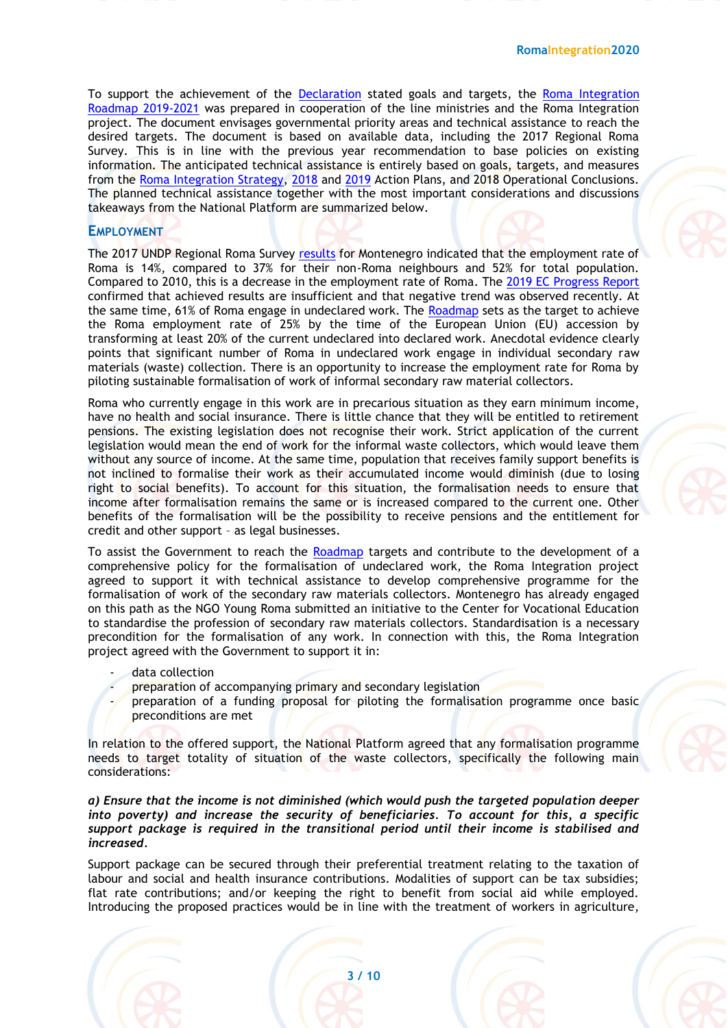To support the achievement of the [Declaration](https://www.rcc.int/romaintegration2020/docs/105/the-declaration-of-western-balkans-partners-on-roma-integration-within-the-eu-enlargement-processrn) stated goals and targets, the [Roma Integration](https://www.rcc.int/romaintegration2020/docs/102/roma-integration-roadmap-montenegro-2019-2021)  [Roadmap 2019-2021](https://www.rcc.int/romaintegration2020/docs/102/roma-integration-roadmap-montenegro-2019-2021) was prepared in cooperation of the line ministries and the Roma Integration project. The document envisages governmental priority areas and technical assistance to reach the desired targets. The document is based on available data, including the 2017 Regional Roma Survey. This is in line with the previous year recommendation to base policies on existing information. The anticipated technical assistance is entirely based on goals, targets, and measures from the [Roma Integration Strategy,](https://www.rcc.int/romaintegration2020/download/docs/20160324%20ME%20NRIS%202016-20%20%5ben%5d.pdf/516f4f38750495e5df7c9596503cf7e4.pdf) [2018](https://www.rcc.int/romaintegration2020/download/docs/Akcioni%20plan%20CG2018.pdf/2912f091dcaaedda7ed6f89d9cf5de78.pdf) and [2019](https://www.rcc.int/romaintegration2020/download/docs/Akcioni%20plan%20CG2019.pdf/49f9a70f1565e3ce126fdb9e19b93141.pdf) Action Plans, and 2018 Operational Conclusions. The planned technical assistance together with the most important considerations and discussions takeaways from the National Platform are summarized below.

### **EMPLOYMENT**

The 2017 UNDP Regional Roma Survey [results](https://www.undp.org/content/dam/rbec/docs/Factsheet_MONTENEGRO_Roma.pdf) for Montenegro indicated that the employment rate of Roma is 14%, compared to 37% for their non-Roma neighbours and 52% for total population. Compared to 2010, this is a decrease in the employment rate of Roma. The [2019 EC Progress Report](https://ec.europa.eu/neighbourhood-enlargement/sites/near/files/20190529-montenegro-report.pdf) confirmed that achieved results are insufficient and that negative trend was observed recently. At the same time, 61% of Roma engage in undeclared work. The [Roadmap](https://www.rcc.int/romaintegration2020/docs/102/roma-integration-roadmap-montenegro-2019-2021) sets as the target to achieve the Roma employment rate of 25% by the time of the European Union (EU) accession by transforming at least 20% of the current undeclared into declared work. Anecdotal evidence clearly points that significant number of Roma in undeclared work engage in individual secondary raw materials (waste) collection. There is an opportunity to increase the employment rate for Roma by piloting sustainable formalisation of work of informal secondary raw material collectors.

Roma who currently engage in this work are in precarious situation as they earn minimum income, have no health and social insurance. There is little chance that they will be entitled to retirement pensions. The existing legislation does not recognise their work. Strict application of the current legislation would mean the end of work for the informal waste collectors, which would leave them without any source of income. At the same time, population that receives family support benefits is not inclined to formalise their work as their accumulated income would diminish (due to losing right to social benefits). To account for this situation, the formalisation needs to ensure that income after formalisation remains the same or is increased compared to the current one. Other benefits of the formalisation will be the possibility to receive pensions and the entitlement for credit and other support – as legal businesses.

To assist the Government to reach the [Roadmap](https://www.rcc.int/romaintegration2020/docs/102/roma-integration-roadmap-montenegro-2019-2021) targets and contribute to the development of a comprehensive policy for the formalisation of undeclared work, the Roma Integration project agreed to support it with technical assistance to develop comprehensive programme for the formalisation of work of the secondary raw materials collectors. Montenegro has already engaged on this path as the NGO Young Roma submitted an initiative to the Center for Vocational Education to standardise the profession of secondary raw materials collectors. Standardisation is a necessary precondition for the formalisation of any work. In connection with this, the Roma Integration project agreed with the Government to support it in:

- data collection
- preparation of accompanying primary and secondary legislation
- preparation of a funding proposal for piloting the formalisation programme once basic preconditions are met

In relation to the offered support, the National Platform agreed that any formalisation programme needs to target totality of situation of the waste collectors, specifically the following main considerations:

*a) Ensure that the income is not diminished (which would push the targeted population deeper into poverty) and increase the security of beneficiaries. To account for this, a specific support package is required in the transitional period until their income is stabilised and increased.*

Support package can be secured through their preferential treatment relating to the taxation of labour and social and health insurance contributions. Modalities of support can be tax subsidies; flat rate contributions; and/or keeping the right to benefit from social aid while employed. Introducing the proposed practices would be in line with the treatment of workers in agriculture,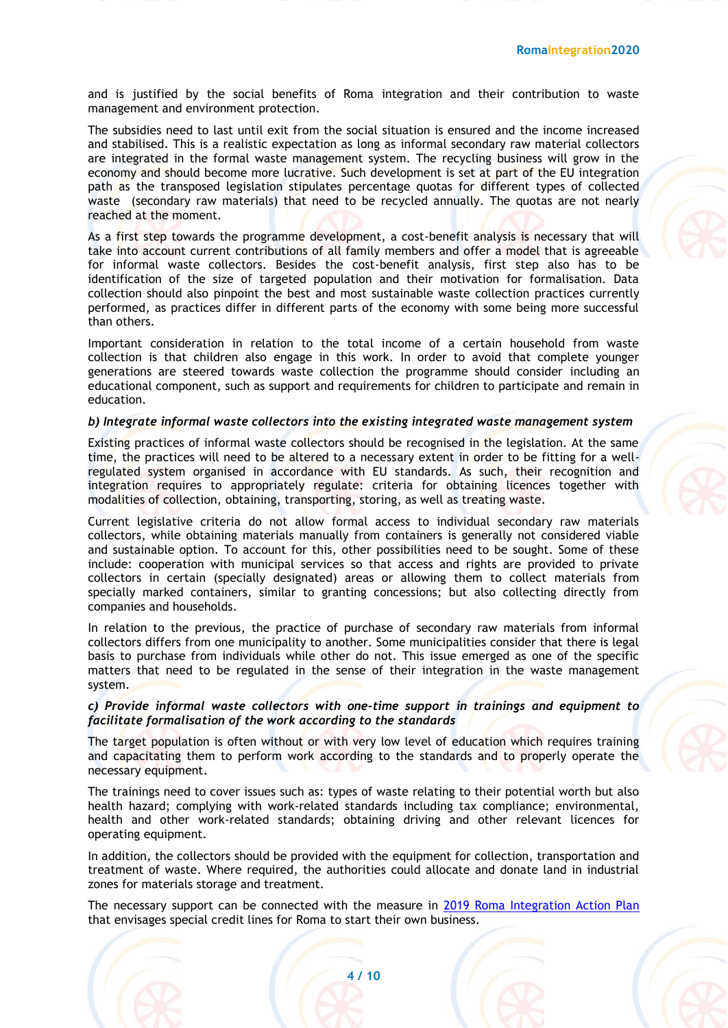and is justified by the social benefits of Roma integration and their contribution to waste management and environment protection.

The subsidies need to last until exit from the social situation is ensured and the income increased and stabilised. This is a realistic expectation as long as informal secondary raw material collectors are integrated in the formal waste management system. The recycling business will grow in the economy and should become more lucrative. Such development is set at part of the EU integration path as the transposed legislation stipulates percentage quotas for different types of collected waste (secondary raw materials) that need to be recycled annually. The quotas are not nearly reached at the moment.

As a first step towards the programme development, a cost-benefit analysis is necessary that will take into account current contributions of all family members and offer a model that is agreeable for informal waste collectors. Besides the cost-benefit analysis, first step also has to be identification of the size of targeted population and their motivation for formalisation. Data collection should also pinpoint the best and most sustainable waste collection practices currently performed, as practices differ in different parts of the economy with some being more successful than others.

Important consideration in relation to the total income of a certain household from waste collection is that children also engage in this work. In order to avoid that complete younger generations are steered towards waste collection the programme should consider including an educational component, such as support and requirements for children to participate and remain in education.

#### *b) Integrate informal waste collectors into the existing integrated waste management system*

Existing practices of informal waste collectors should be recognised in the legislation. At the same time, the practices will need to be altered to a necessary extent in order to be fitting for a wellregulated system organised in accordance with EU standards. As such, their recognition and integration requires to appropriately regulate: criteria for obtaining licences together with modalities of collection, obtaining, transporting, storing, as well as treating waste.

Current legislative criteria do not allow formal access to individual secondary raw materials collectors, while obtaining materials manually from containers is generally not considered viable and sustainable option. To account for this, other possibilities need to be sought. Some of these include: cooperation with municipal services so that access and rights are provided to private collectors in certain (specially designated) areas or allowing them to collect materials from specially marked containers, similar to granting concessions; but also collecting directly from companies and households.

In relation to the previous, the practice of purchase of secondary raw materials from informal collectors differs from one municipality to another. Some municipalities consider that there is legal basis to purchase from individuals while other do not. This issue emerged as one of the specific matters that need to be regulated in the sense of their integration in the waste management system.

#### *c) Provide informal waste collectors with one-time support in trainings and equipment to facilitate formalisation of the work according to the standards*

The target population is often without or with very low level of education which requires training and capacitating them to perform work according to the standards and to properly operate the necessary equipment.

The trainings need to cover issues such as: types of waste relating to their potential worth but also health hazard; complying with work-related standards including tax compliance; environmental, health and other work-related standards; obtaining driving and other relevant licences for operating equipment.

In addition, the collectors should be provided with the equipment for collection, transportation and treatment of waste. Where required, the authorities could allocate and donate land in industrial zones for materials storage and treatment.

The necessary support can be connected with the measure in [2019 Roma Integration Action Plan](https://www.rcc.int/romaintegration2020/download/docs/Akcioni%20plan%20CG2019.pdf/49f9a70f1565e3ce126fdb9e19b93141.pdf) that envisages special credit lines for Roma to start their own business.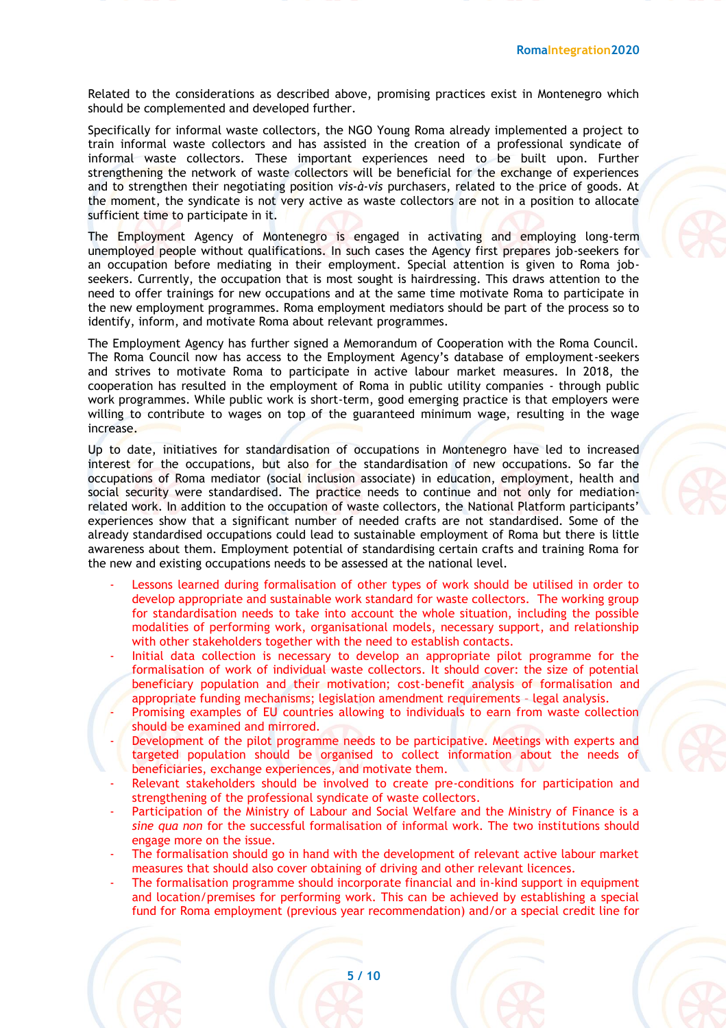Related to the considerations as described above, promising practices exist in Montenegro which should be complemented and developed further.

Specifically for informal waste collectors, the NGO Young Roma already implemented a project to train informal waste collectors and has assisted in the creation of a professional syndicate of informal waste collectors. These important experiences need to be built upon. Further strengthening the network of waste collectors will be beneficial for the exchange of experiences and to strengthen their negotiating position *vis-à-vis* purchasers, related to the price of goods. At the moment, the syndicate is not very active as waste collectors are not in a position to allocate sufficient time to participate in it.

The Employment Agency of Montenegro is engaged in activating and employing long-term unemployed people without qualifications. In such cases the Agency first prepares job-seekers for an occupation before mediating in their employment. Special attention is given to Roma jobseekers. Currently, the occupation that is most sought is hairdressing. This draws attention to the need to offer trainings for new occupations and at the same time motivate Roma to participate in the new employment programmes. Roma employment mediators should be part of the process so to identify, inform, and motivate Roma about relevant programmes.

The Employment Agency has further signed a Memorandum of Cooperation with the Roma Council. The Roma Council now has access to the Employment Agency's database of employment-seekers and strives to motivate Roma to participate in active labour market measures. In 2018, the cooperation has resulted in the employment of Roma in public utility companies - through public work programmes. While public work is short-term, good emerging practice is that employers were willing to contribute to wages on top of the guaranteed minimum wage, resulting in the wage increase.

Up to date, initiatives for standardisation of occupations in Montenegro have led to increased interest for the occupations, but also for the standardisation of new occupations. So far the occupations of Roma mediator (social inclusion associate) in education, employment, health and social security were standardised. The practice needs to continue and not only for mediationrelated work. In addition to the occupation of waste collectors, the National Platform participants' experiences show that a significant number of needed crafts are not standardised. Some of the already standardised occupations could lead to sustainable employment of Roma but there is little awareness about them. Employment potential of standardising certain crafts and training Roma for the new and existing occupations needs to be assessed at the national level.

- Lessons learned during formalisation of other types of work should be utilised in order to develop appropriate and sustainable work standard for waste collectors. The working group for standardisation needs to take into account the whole situation, including the possible modalities of performing work, organisational models, necessary support, and relationship with other stakeholders together with the need to establish contacts.
- Initial data collection is necessary to develop an appropriate pilot programme for the formalisation of work of individual waste collectors. It should cover: the size of potential beneficiary population and their motivation; cost-benefit analysis of formalisation and appropriate funding mechanisms; legislation amendment requirements – legal analysis.
- Promising examples of EU countries allowing to individuals to earn from waste collection should be examined and mirrored.
- Development of the pilot programme needs to be participative. Meetings with experts and targeted population should be organised to collect information about the needs of beneficiaries, exchange experiences, and motivate them.
- Relevant stakeholders should be involved to create pre-conditions for participation and strengthening of the professional syndicate of waste collectors.
- Participation of the Ministry of Labour and Social Welfare and the Ministry of Finance is a *sine qua non* for the successful formalisation of informal work. The two institutions should engage more on the issue.
- The formalisation should go in hand with the development of relevant active labour market measures that should also cover obtaining of driving and other relevant licences.
- The formalisation programme should incorporate financial and in-kind support in equipment and location/premises for performing work. This can be achieved by establishing a special fund for Roma employment (previous year recommendation) and/or a special credit line for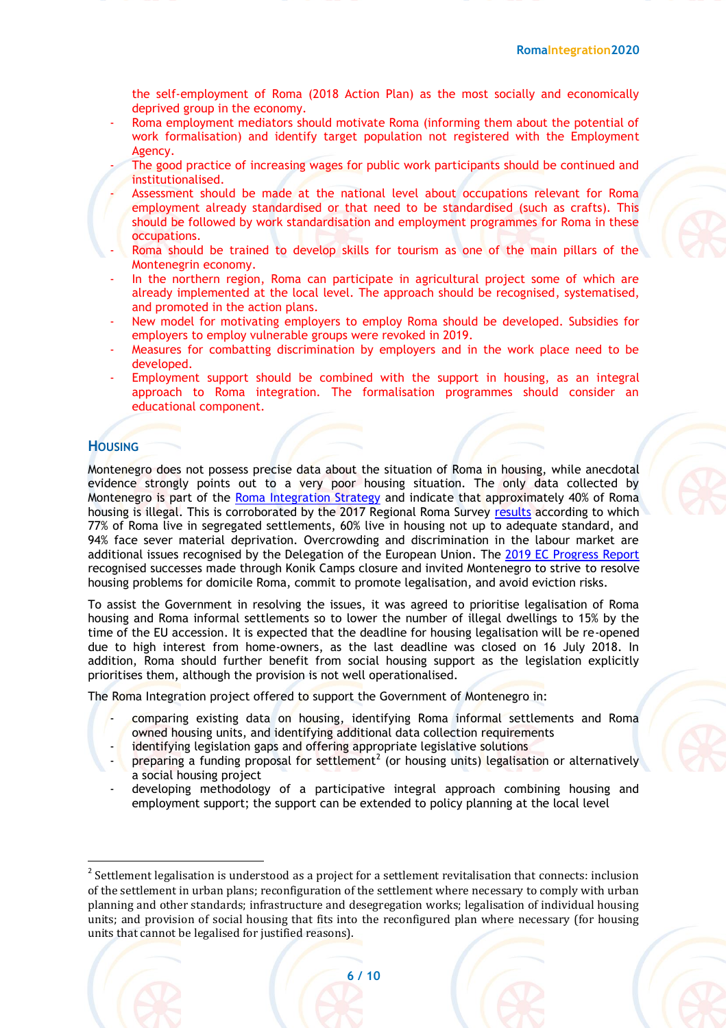the self-employment of Roma (2018 Action Plan) as the most socially and economically deprived group in the economy.

- Roma employment mediators should motivate Roma (informing them about the potential of work formalisation) and identify target population not registered with the Employment Agency.
- The good practice of increasing wages for public work participants should be continued and institutionalised.
- Assessment should be made at the national level about occupations relevant for Roma employment already standardised or that need to be standardised (such as crafts). This should be followed by work standardisation and employment programmes for Roma in these occupations.
- Roma should be trained to develop skills for tourism as one of the main pillars of the Montenegrin economy.
- In the northern region, Roma can participate in agricultural project some of which are already implemented at the local level. The approach should be recognised, systematised, and promoted in the action plans.
- New model for motivating employers to employ Roma should be developed. Subsidies for employers to employ vulnerable groups were revoked in 2019.
- Measures for combatting discrimination by employers and in the work place need to be developed.
- Employment support should be combined with the support in housing, as an integral approach to Roma integration. The formalisation programmes should consider an educational component.

### **HOUSING**

Montenegro does not possess precise data about the situation of Roma in housing, while anecdotal evidence strongly points out to a very poor housing situation. The only data collected by Montenegro is part of the [Roma Integration Strategy](https://www.rcc.int/romaintegration2020/download/docs/20160324%20ME%20NRIS%202016-20%20%5ben%5d.pdf/516f4f38750495e5df7c9596503cf7e4.pdf) and indicate that approximately 40% of Roma housing is illegal. This is corroborated by the 2017 Regional Roma Survey [results](https://www.undp.org/content/dam/rbec/docs/Factsheet_MONTENEGRO_Roma.pdf) according to which 77% of Roma live in segregated settlements, 60% live in housing not up to adequate standard, and 94% face sever material deprivation. Overcrowding and discrimination in the labour market are additional issues recognised by the Delegation of the European Union. The [2019 EC Progress Report](https://ec.europa.eu/neighbourhood-enlargement/sites/near/files/20190529-montenegro-report.pdf) recognised successes made through Konik Camps closure and invited Montenegro to strive to resolve housing problems for domicile Roma, commit to promote legalisation, and avoid eviction risks.

To assist the Government in resolving the issues, it was agreed to prioritise legalisation of Roma housing and Roma informal settlements so to lower the number of illegal dwellings to 15% by the time of the EU accession. It is expected that the deadline for housing legalisation will be re-opened due to high interest from home-owners, as the last deadline was closed on 16 July 2018. In addition, Roma should further benefit from social housing support as the legislation explicitly prioritises them, although the provision is not well operationalised.

The Roma Integration project offered to support the Government of Montenegro in:

- comparing existing data on housing, identifying Roma informal settlements and Roma owned housing units, and identifying additional data collection requirements
- identifying legislation gaps and offering appropriate legislative solutions
- $\frac{1}{2}$  preparing a funding proposal for settlement<sup>2</sup> (or housing units) legalisation or alternatively a social housing project
- developing methodology of a participative integral approach combining housing and employment support; the support can be extended to policy planning at the local level

 $2$  Settlement legalisation is understood as a project for a settlement revitalisation that connects: inclusion of the settlement in urban plans; reconfiguration of the settlement where necessary to comply with urban planning and other standards; infrastructure and desegregation works; legalisation of individual housing units; and provision of social housing that fits into the reconfigured plan where necessary (for housing units that cannot be legalised for justified reasons).



**.**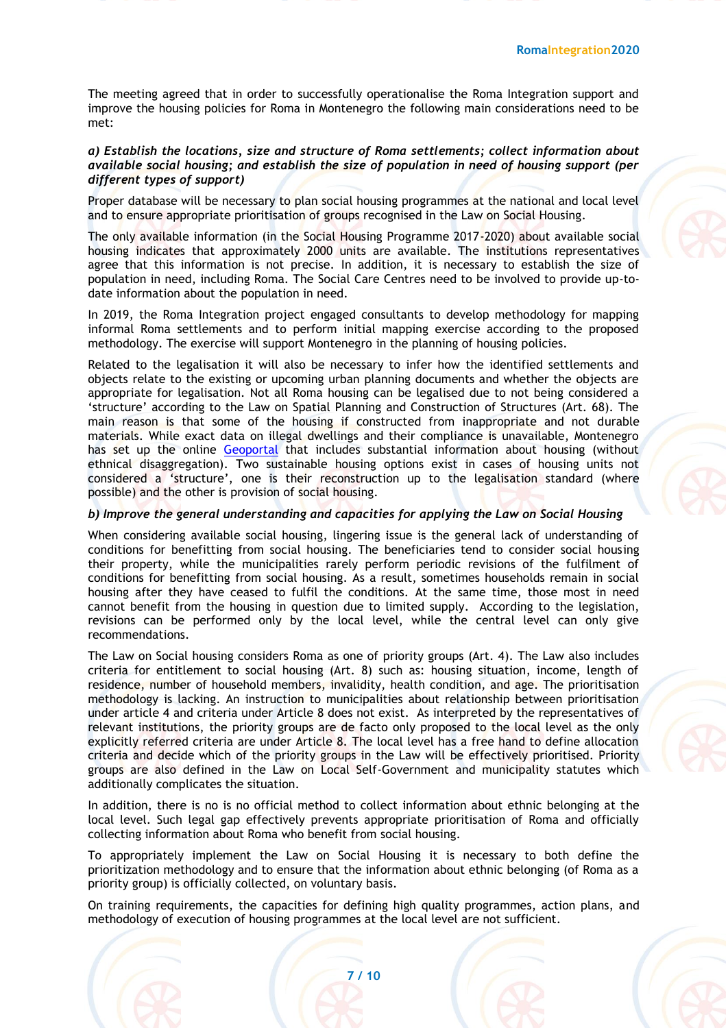The meeting agreed that in order to successfully operationalise the Roma Integration support and improve the housing policies for Roma in Montenegro the following main considerations need to be met:

#### *a) Establish the locations, size and structure of Roma settlements; collect information about available social housing; and establish the size of population in need of housing support (per different types of support)*

Proper database will be necessary to plan social housing programmes at the national and local level and to ensure appropriate prioritisation of groups recognised in the Law on Social Housing.

The only available information (in the Social Housing Programme 2017-2020) about available social housing indicates that approximately 2000 units are available. The institutions representatives agree that this information is not precise. In addition, it is necessary to establish the size of population in need, including Roma. The Social Care Centres need to be involved to provide up-todate information about the population in need.

In 2019, the Roma Integration project engaged consultants to develop methodology for mapping informal Roma settlements and to perform initial mapping exercise according to the proposed methodology. The exercise will support Montenegro in the planning of housing policies.

Related to the legalisation it will also be necessary to infer how the identified settlements and objects relate to the existing or upcoming urban planning documents and whether the objects are appropriate for legalisation. Not all Roma housing can be legalised due to not being considered a 'structure' according to the Law on Spatial Planning and Construction of Structures (Art. 68). The main reason is that some of the housing if constructed from inappropriate and not durable materials. While exact data on illegal dwellings and their compliance is unavailable, Montenegro has set up the online [Geoportal](http://www.geoportal.co.me/) that includes substantial information about housing (without ethnical disaggregation). Two sustainable housing options exist in cases of housing units not considered a 'structure', one is their reconstruction up to the legalisation standard (where possible) and the other is provision of social housing.

#### *b) Improve the general understanding and capacities for applying the Law on Social Housing*

When considering available social housing, lingering issue is the general lack of understanding of conditions for benefitting from social housing. The beneficiaries tend to consider social housing their property, while the municipalities rarely perform periodic revisions of the fulfilment of conditions for benefitting from social housing. As a result, sometimes households remain in social housing after they have ceased to fulfil the conditions. At the same time, those most in need cannot benefit from the housing in question due to limited supply. According to the legislation, revisions can be performed only by the local level, while the central level can only give recommendations.

The Law on Social housing considers Roma as one of priority groups (Art. 4). The Law also includes criteria for entitlement to social housing (Art. 8) such as: housing situation, income, length of residence, number of household members, invalidity, health condition, and age. The prioritisation methodology is lacking. An instruction to municipalities about relationship between prioritisation under article 4 and criteria under Article 8 does not exist. As interpreted by the representatives of relevant institutions, the priority groups are de facto only proposed to the local level as the only explicitly referred criteria are under Article 8. The local level has a free hand to define allocation criteria and decide which of the priority groups in the Law will be effectively prioritised. Priority groups are also defined in the Law on Local Self-Government and municipality statutes which additionally complicates the situation.

In addition, there is no is no official method to collect information about ethnic belonging at the local level. Such legal gap effectively prevents appropriate prioritisation of Roma and officially collecting information about Roma who benefit from social housing.

To appropriately implement the Law on Social Housing it is necessary to both define the prioritization methodology and to ensure that the information about ethnic belonging (of Roma as a priority group) is officially collected, on voluntary basis.

On training requirements, the capacities for defining high quality programmes, action plans, and methodology of execution of housing programmes at the local level are not sufficient.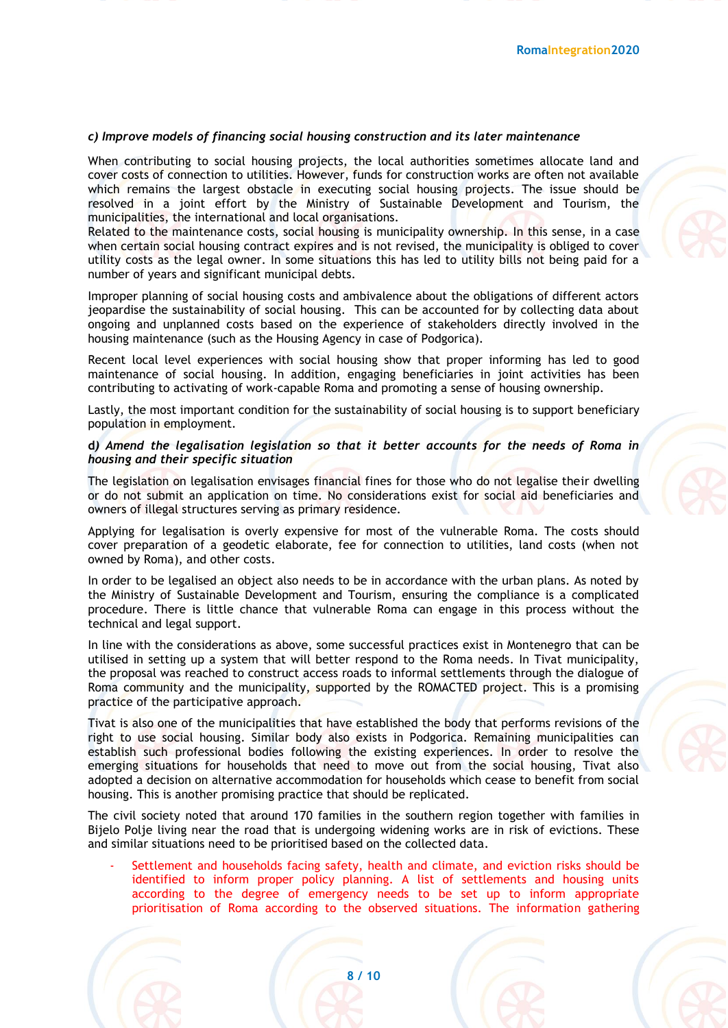#### *c) Improve models of financing social housing construction and its later maintenance*

When contributing to social housing projects, the local authorities sometimes allocate land and cover costs of connection to utilities. However, funds for construction works are often not available which remains the largest obstacle in executing social housing projects. The issue should be resolved in a joint effort by the Ministry of Sustainable Development and Tourism, the municipalities, the international and local organisations.

Related to the maintenance costs, social housing is municipality ownership. In this sense, in a case when certain social housing contract expires and is not revised, the municipality is obliged to cover utility costs as the legal owner. In some situations this has led to utility bills not being paid for a number of years and significant municipal debts.

Improper planning of social housing costs and ambivalence about the obligations of different actors jeopardise the sustainability of social housing. This can be accounted for by collecting data about ongoing and unplanned costs based on the experience of stakeholders directly involved in the housing maintenance (such as the Housing Agency in case of Podgorica).

Recent local level experiences with social housing show that proper informing has led to good maintenance of social housing. In addition, engaging beneficiaries in joint activities has been contributing to activating of work-capable Roma and promoting a sense of housing ownership.

Lastly, the most important condition for the sustainability of social housing is to support beneficiary population in employment.

#### **d***) Amend the legalisation legislation so that it better accounts for the needs of Roma in housing and their specific situation*

The legislation on legalisation envisages financial fines for those who do not legalise their dwelling or do not submit an application on time. No considerations exist for social aid beneficiaries and owners of illegal structures serving as primary residence.

Applying for legalisation is overly expensive for most of the vulnerable Roma. The costs should cover preparation of a geodetic elaborate, fee for connection to utilities, land costs (when not owned by Roma), and other costs.

In order to be legalised an object also needs to be in accordance with the urban plans. As noted by the Ministry of Sustainable Development and Tourism, ensuring the compliance is a complicated procedure. There is little chance that vulnerable Roma can engage in this process without the technical and legal support.

In line with the considerations as above, some successful practices exist in Montenegro that can be utilised in setting up a system that will better respond to the Roma needs. In Tivat municipality, the proposal was reached to construct access roads to informal settlements through the dialogue of Roma community and the municipality, supported by the ROMACTED project. This is a promising practice of the participative approach.

Tivat is also one of the municipalities that have established the body that performs revisions of the right to use social housing. Similar body also exists in Podgorica. Remaining municipalities can establish such professional bodies following the existing experiences. In order to resolve the emerging situations for households that need to move out from the social housing, Tivat also adopted a decision on alternative accommodation for households which cease to benefit from social housing. This is another promising practice that should be replicated.

The civil society noted that around 170 families in the southern region together with families in Bijelo Polje living near the road that is undergoing widening works are in risk of evictions. These and similar situations need to be prioritised based on the collected data.

Settlement and households facing safety, health and climate, and eviction risks should be identified to inform proper policy planning. A list of settlements and housing units according to the degree of emergency needs to be set up to inform appropriate prioritisation of Roma according to the observed situations. The information gathering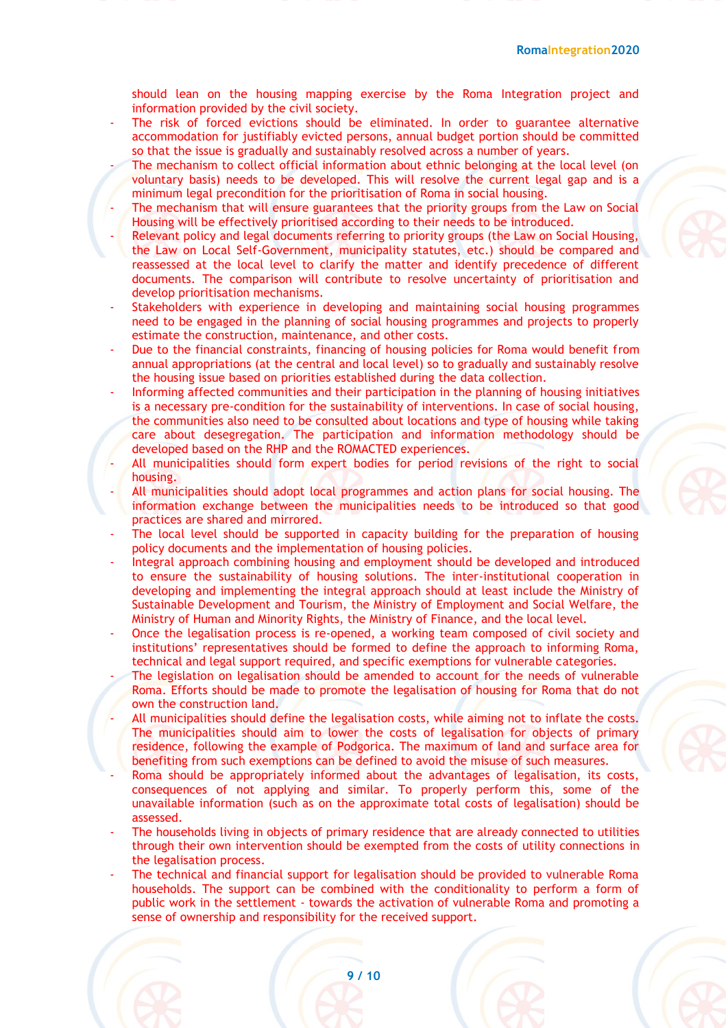should lean on the housing mapping exercise by the Roma Integration project and information provided by the civil society.

- The risk of forced evictions should be eliminated. In order to guarantee alternative accommodation for justifiably evicted persons, annual budget portion should be committed so that the issue is gradually and sustainably resolved across a number of years.
- The mechanism to collect official information about ethnic belonging at the local level (on voluntary basis) needs to be developed. This will resolve the current legal gap and is a minimum legal precondition for the prioritisation of Roma in social housing.
- The mechanism that will ensure guarantees that the priority groups from the Law on Social Housing will be effectively prioritised according to their needs to be introduced.
- Relevant policy and legal documents referring to priority groups (the Law on Social Housing, the Law on Local Self-Government, municipality statutes, etc.) should be compared and reassessed at the local level to clarify the matter and identify precedence of different documents. The comparison will contribute to resolve uncertainty of prioritisation and develop prioritisation mechanisms.
- Stakeholders with experience in developing and maintaining social housing programmes need to be engaged in the planning of social housing programmes and projects to properly estimate the construction, maintenance, and other costs.
- Due to the financial constraints, financing of housing policies for Roma would benefit from annual appropriations (at the central and local level) so to gradually and sustainably resolve the housing issue based on priorities established during the data collection.
- Informing affected communities and their participation in the planning of housing initiatives is a necessary pre-condition for the sustainability of interventions. In case of social housing, the communities also need to be consulted about locations and type of housing while taking care about desegregation. The participation and information methodology should be developed based on the RHP and the ROMACTED experiences.
- All municipalities should form expert bodies for period revisions of the right to social housing.
- All municipalities should adopt local programmes and action plans for social housing. The information exchange between the municipalities needs to be introduced so that good practices are shared and mirrored.
- The local level should be supported in capacity building for the preparation of housing policy documents and the implementation of housing policies.
- Integral approach combining housing and employment should be developed and introduced to ensure the sustainability of housing solutions. The inter-institutional cooperation in developing and implementing the integral approach should at least include the Ministry of Sustainable Development and Tourism, the Ministry of Employment and Social Welfare, the Ministry of Human and Minority Rights, the Ministry of Finance, and the local level.
- Once the legalisation process is re-opened, a working team composed of civil society and institutions' representatives should be formed to define the approach to informing Roma, technical and legal support required, and specific exemptions for vulnerable categories.
- The legislation on legalisation should be amended to account for the needs of vulnerable Roma. Efforts should be made to promote the legalisation of housing for Roma that do not own the construction land.
- All municipalities should define the legalisation costs, while aiming not to inflate the costs. The municipalities should aim to lower the costs of legalisation for objects of primary residence, following the example of Podgorica. The maximum of land and surface area for benefiting from such exemptions can be defined to avoid the misuse of such measures.
- Roma should be appropriately informed about the advantages of legalisation, its costs, consequences of not applying and similar. To properly perform this, some of the unavailable information (such as on the approximate total costs of legalisation) should be assessed.
- The households living in objects of primary residence that are already connected to utilities through their own intervention should be exempted from the costs of utility connections in the legalisation process.
- The technical and financial support for legalisation should be provided to vulnerable Roma households. The support can be combined with the conditionality to perform a form of public work in the settlement - towards the activation of vulnerable Roma and promoting a sense of ownership and responsibility for the received support.